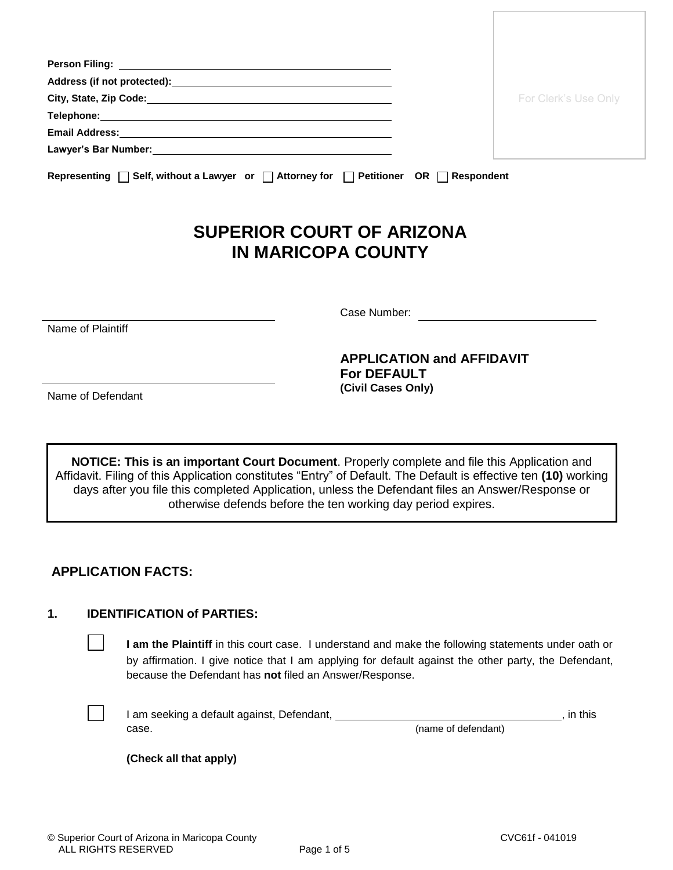|                                                                                                          | For Clerk's Use Only |
|----------------------------------------------------------------------------------------------------------|----------------------|
|                                                                                                          |                      |
|                                                                                                          |                      |
|                                                                                                          |                      |
| Representing $\Box$ Self, without a Lawyer or $\Box$ Attorney for $\Box$ Petitioner OR $\Box$ Respondent |                      |

# **SUPERIOR COURT OF ARIZONA IN MARICOPA COUNTY**

Name of Plaintiff

Case Number:

**APPLICATION and AFFIDAVIT For DEFAULT (Civil Cases Only)**

Name of Defendant

**NOTICE: This is an important Court Document**. Properly complete and file this Application and Affidavit. Filing of this Application constitutes "Entry" of Default. The Default is effective ten **(10)** working days after you file this completed Application, unless the Defendant files an Answer/Response or otherwise defends before the ten working day period expires.

## **APPLICATION FACTS:**

#### **1. IDENTIFICATION of PARTIES:**

**I am the Plaintiff** in this court case. I understand and make the following statements under oath or by affirmation. I give notice that I am applying for default against the other party, the Defendant, because the Defendant has **not** filed an Answer/Response.

I am seeking a default against, Defendant, **in the according team of the set of the set of the set of the set of the set of the set of the set of the set of the set of the set of the set of the set of the set of the set of** case. (name of defendant)

**(Check all that apply)**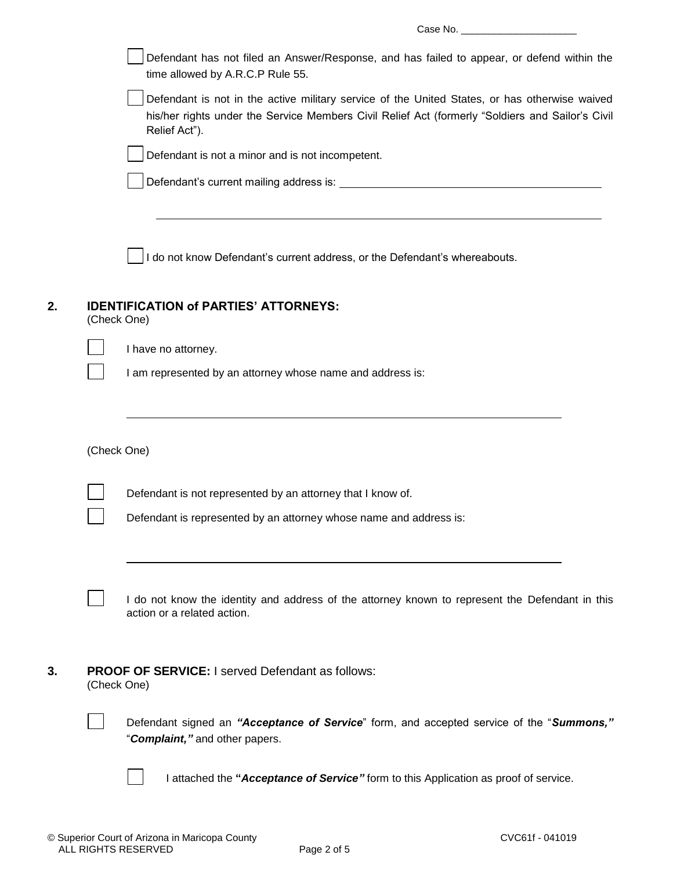|    | Defendant has not filed an Answer/Response, and has failed to appear, or defend within the<br>time allowed by A.R.C.P Rule 55.                                                                                     |
|----|--------------------------------------------------------------------------------------------------------------------------------------------------------------------------------------------------------------------|
|    | Defendant is not in the active military service of the United States, or has otherwise waived<br>his/her rights under the Service Members Civil Relief Act (formerly "Soldiers and Sailor's Civil<br>Relief Act"). |
|    | Defendant is not a minor and is not incompetent.                                                                                                                                                                   |
|    |                                                                                                                                                                                                                    |
|    | I do not know Defendant's current address, or the Defendant's whereabouts.                                                                                                                                         |
| 2. | <b>IDENTIFICATION of PARTIES' ATTORNEYS:</b><br>(Check One)                                                                                                                                                        |
|    | I have no attorney.                                                                                                                                                                                                |
|    | I am represented by an attorney whose name and address is:                                                                                                                                                         |
|    | (Check One)                                                                                                                                                                                                        |
|    | Defendant is not represented by an attorney that I know of.                                                                                                                                                        |
|    | Defendant is represented by an attorney whose name and address is:                                                                                                                                                 |
|    | I do not know the identity and address of the attorney known to represent the Defendant in this<br>action or a related action.                                                                                     |
| 3. | <b>PROOF OF SERVICE: I served Defendant as follows:</b><br>(Check One)                                                                                                                                             |
|    | Defendant signed an "Acceptance of Service" form, and accepted service of the "Summons,"<br>"Complaint," and other papers.                                                                                         |
|    | I attached the "Acceptance of Service" form to this Application as proof of service.                                                                                                                               |
|    |                                                                                                                                                                                                                    |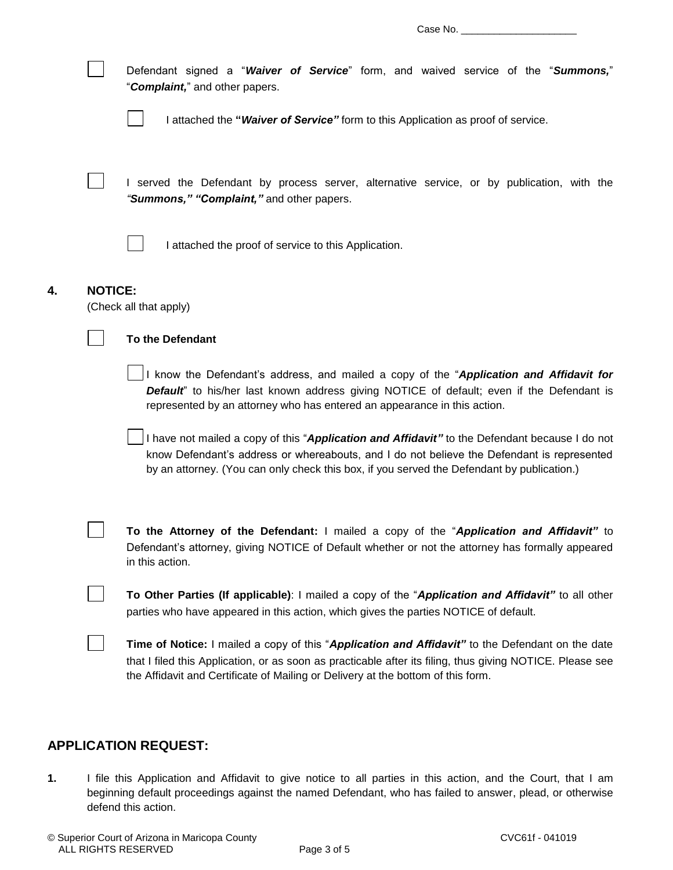| Defendant signed a "Waiver of Service" form, and waived service of the "Summons,"<br>"Complaint," and other papers.<br>I attached the "Waiver of Service" form to this Application as proof of service.                                                                                    |  |  |  |  |
|--------------------------------------------------------------------------------------------------------------------------------------------------------------------------------------------------------------------------------------------------------------------------------------------|--|--|--|--|
| I served the Defendant by process server, alternative service, or by publication, with the<br>"Summons," "Complaint," and other papers.                                                                                                                                                    |  |  |  |  |
| I attached the proof of service to this Application.                                                                                                                                                                                                                                       |  |  |  |  |
| <b>NOTICE:</b><br>(Check all that apply)                                                                                                                                                                                                                                                   |  |  |  |  |
| <b>To the Defendant</b>                                                                                                                                                                                                                                                                    |  |  |  |  |
| I know the Defendant's address, and mailed a copy of the "Application and Affidavit for<br>Default" to his/her last known address giving NOTICE of default; even if the Defendant is<br>represented by an attorney who has entered an appearance in this action.                           |  |  |  |  |
| I have not mailed a copy of this "Application and Affidavit" to the Defendant because I do not<br>know Defendant's address or whereabouts, and I do not believe the Defendant is represented<br>by an attorney. (You can only check this box, if you served the Defendant by publication.) |  |  |  |  |
| To the Attorney of the Defendant: I mailed a copy of the "Application and Affidavit" to<br>Defendant's attorney, giving NOTICE of Default whether or not the attorney has formally appeared<br>in this action.                                                                             |  |  |  |  |
| To Other Parties (If applicable): I mailed a copy of the "Application and Affidavit" to all other<br>parties who have appeared in this action, which gives the parties NOTICE of default.                                                                                                  |  |  |  |  |
| Time of Notice: I mailed a copy of this "Application and Affidavit" to the Defendant on the date<br>that I filed this Application, or as soon as practicable after its filing, thus giving NOTICE. Please see                                                                              |  |  |  |  |

### **APPLICATION REQUEST:**

**4. NOTICE:**

**1.** I file this Application and Affidavit to give notice to all parties in this action, and the Court, that I am beginning default proceedings against the named Defendant, who has failed to answer, plead, or otherwise defend this action.

the Affidavit and Certificate of Mailing or Delivery at the bottom of this form.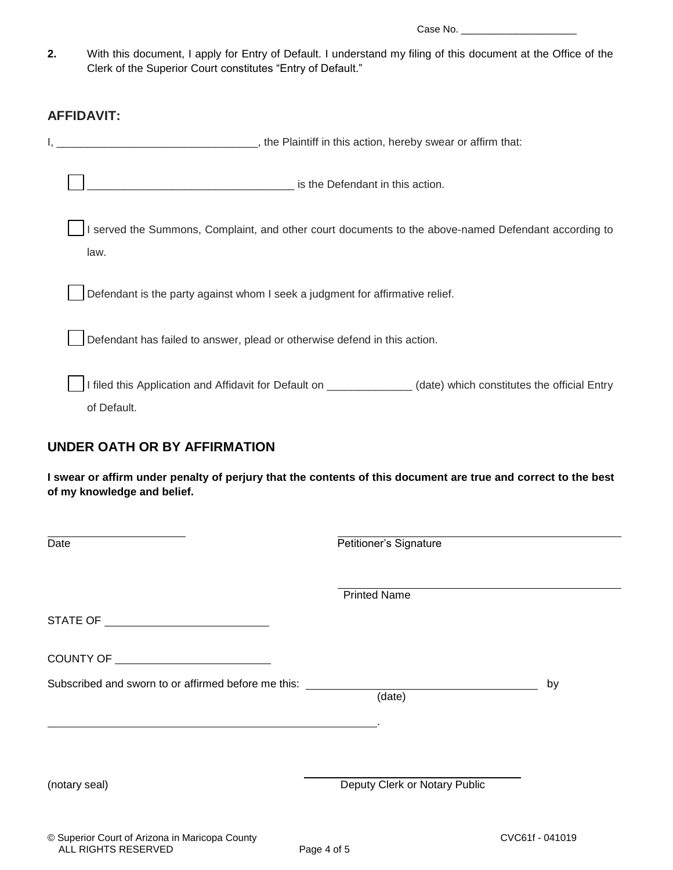Case No. \_\_\_\_\_\_\_\_\_\_\_\_\_\_\_\_\_\_\_\_\_

**2.** With this document, I apply for Entry of Default. I understand my filing of this document at the Office of the Clerk of the Superior Court constitutes "Entry of Default."

#### **AFFIDAVIT:**

| _, the Plaintiff in this action, hereby swear or affirm that:                                                                 |
|-------------------------------------------------------------------------------------------------------------------------------|
| is the Defendant in this action.                                                                                              |
| I served the Summons, Complaint, and other court documents to the above-named Defendant according to<br>law.                  |
| Defendant is the party against whom I seek a judgment for affirmative relief.                                                 |
| Defendant has failed to answer, plead or otherwise defend in this action.                                                     |
| I filed this Application and Affidavit for Default on _____________(date) which constitutes the official Entry<br>of Default. |

### **UNDER OATH OR BY AFFIRMATION**

**I swear or affirm under penalty of perjury that the contents of this document are true and correct to the best of my knowledge and belief.**

| Date                                                                             | Petitioner's Signature        |    |  |
|----------------------------------------------------------------------------------|-------------------------------|----|--|
|                                                                                  | <b>Printed Name</b>           |    |  |
|                                                                                  |                               |    |  |
|                                                                                  |                               |    |  |
| Subscribed and sworn to or affirmed before me this: ____________________________ | (date)                        | by |  |
|                                                                                  |                               |    |  |
| (notary seal)                                                                    | Deputy Clerk or Notary Public |    |  |
|                                                                                  |                               |    |  |